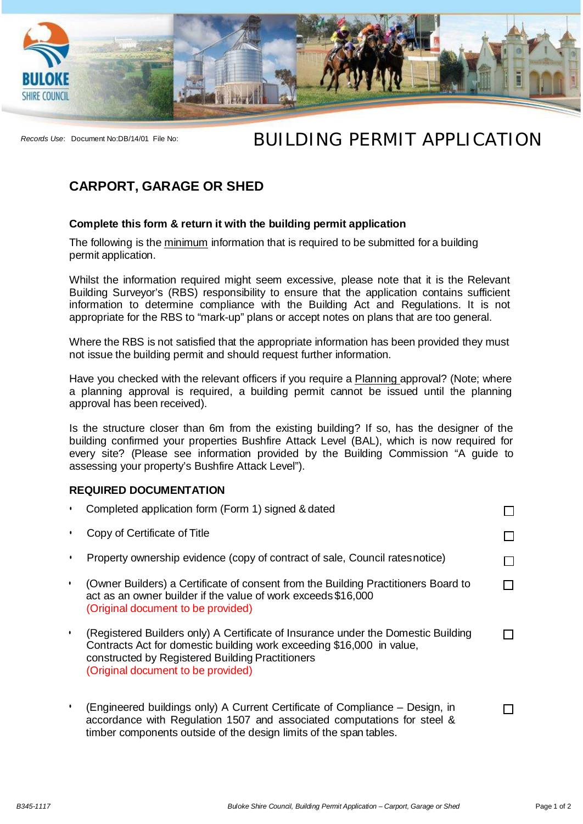

## *Records Use*: Document No:DB/14/01 File No: **Building PERMIT APPLICATION**

## **CARPORT, GARAGE OR SHED**

## **Complete this form & return it with the building permit application**

The following is the minimum information that is required to be submitted for a building permit application.

Whilst the information required might seem excessive, please note that it is the Relevant Building Surveyor's (RBS) responsibility to ensure that the application contains sufficient information to determine compliance with the Building Act and Regulations. It is not appropriate for the RBS to "mark-up" plans or accept notes on plans that are too general.

Where the RBS is not satisfied that the appropriate information has been provided they must not issue the building permit and should request further information.

Have you checked with the relevant officers if you require a Planning approval? (Note; where a planning approval is required, a building permit cannot be issued until the planning approval has been received).

Is the structure closer than 6m from the existing building? If so, has the designer of the building confirmed your properties Bushfire Attack Level (BAL), which is now required for every site? (Please see information provided by the Building Commission "A guide to assessing your property's Bushfire Attack Level").

## **REQUIRED DOCUMENTATION**

| Completed application form (Form 1) signed & dated                                                                                                                                                                                                   |  |
|------------------------------------------------------------------------------------------------------------------------------------------------------------------------------------------------------------------------------------------------------|--|
| Copy of Certificate of Title                                                                                                                                                                                                                         |  |
| Property ownership evidence (copy of contract of sale, Council rates notice)                                                                                                                                                                         |  |
| (Owner Builders) a Certificate of consent from the Building Practitioners Board to<br>act as an owner builder if the value of work exceeds \$16,000<br>(Original document to be provided)                                                            |  |
| (Registered Builders only) A Certificate of Insurance under the Domestic Building<br>Contracts Act for domestic building work exceeding \$16,000 in value,<br>constructed by Registered Building Practitioners<br>(Original document to be provided) |  |
| (Engineered buildings only) A Current Certificate of Compliance – Design, in<br>accordance with Regulation 1507 and associated computations for steel &<br>timber components outside of the design limits of the span tables.                        |  |